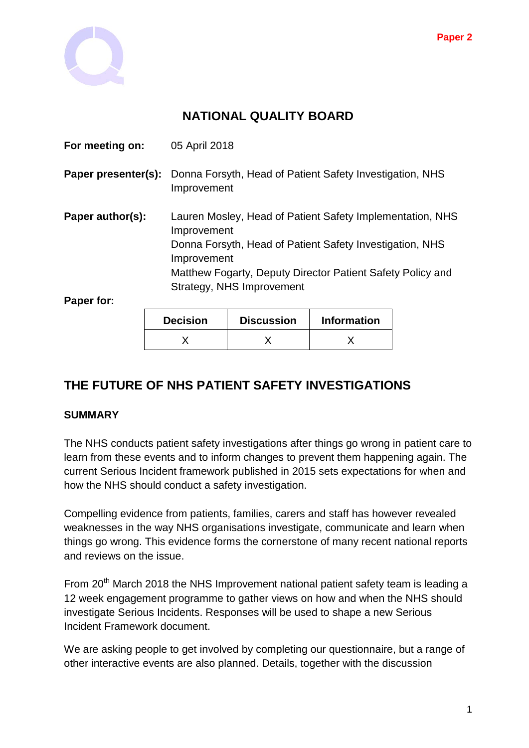

# **NATIONAL QUALITY BOARD**

|                                                                               | Improvement<br>Donna Forsyth, Head of Patient Safety Investigation, NHS<br>Improvement<br>Matthew Fogarty, Deputy Director Patient Safety Policy and<br>Strategy, NHS Improvement |  |  |  |  |
|-------------------------------------------------------------------------------|-----------------------------------------------------------------------------------------------------------------------------------------------------------------------------------|--|--|--|--|
|                                                                               |                                                                                                                                                                                   |  |  |  |  |
|                                                                               |                                                                                                                                                                                   |  |  |  |  |
|                                                                               |                                                                                                                                                                                   |  |  |  |  |
| Lauren Mosley, Head of Patient Safety Implementation, NHS<br>Paper author(s): |                                                                                                                                                                                   |  |  |  |  |
| Paper presenter(s):                                                           | Donna Forsyth, Head of Patient Safety Investigation, NHS<br>Improvement                                                                                                           |  |  |  |  |
|                                                                               | 05 April 2018                                                                                                                                                                     |  |  |  |  |
|                                                                               |                                                                                                                                                                                   |  |  |  |  |

| <b>Decision</b> | <b>Discussion</b> | <b>Information</b> |
|-----------------|-------------------|--------------------|
|                 |                   |                    |

# **THE FUTURE OF NHS PATIENT SAFETY INVESTIGATIONS**

#### **SUMMARY**

The NHS conducts patient safety investigations after things go wrong in patient care to learn from these events and to inform changes to prevent them happening again. The current Serious Incident framework published in 2015 sets expectations for when and how the NHS should conduct a safety investigation.

Compelling evidence from patients, families, carers and staff has however revealed weaknesses in the way NHS organisations investigate, communicate and learn when things go wrong. This evidence forms the cornerstone of many recent national reports and reviews on the issue.

From 20<sup>th</sup> March 2018 the NHS Improvement national patient safety team is leading a 12 week engagement programme to gather views on how and when the NHS should investigate Serious Incidents. Responses will be used to shape a new Serious Incident Framework document.

We are asking people to get involved by completing our questionnaire, but a range of other interactive events are also planned. Details, together with the discussion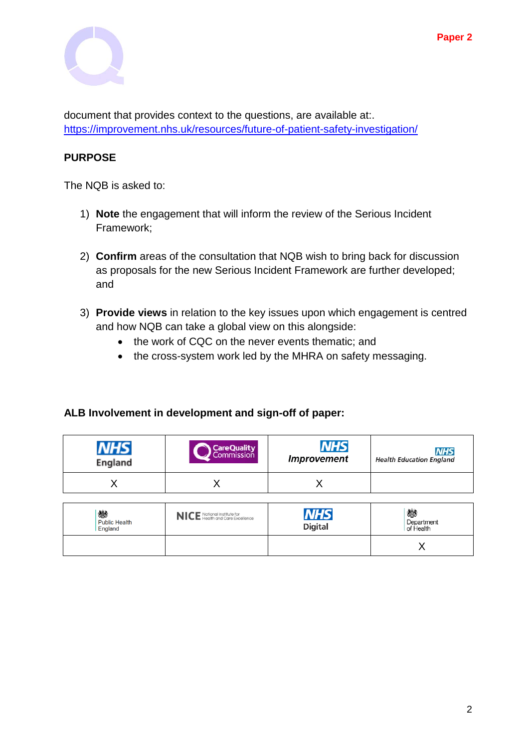

document that provides context to the questions, are available at:. <https://improvement.nhs.uk/resources/future-of-patient-safety-investigation/>

### **PURPOSE**

The NQB is asked to:

- 1) **Note** the engagement that will inform the review of the Serious Incident Framework;
- 2) **Confirm** areas of the consultation that NQB wish to bring back for discussion as proposals for the new Serious Incident Framework are further developed; and
- 3) **Provide views** in relation to the key issues upon which engagement is centred and how NQB can take a global view on this alongside:
	- the work of CQC on the never events thematic: and
	- the cross-system work led by the MHRA on safety messaging.

#### **ALB Involvement in development and sign-off of paper:**

| England | <b>CareQuality</b> | <b>NHS</b>         | <b>NHS</b>                      |
|---------|--------------------|--------------------|---------------------------------|
|         | Commission         | <b>Improvement</b> | <b>Health Education England</b> |
|         |                    |                    |                                 |

| 戀<br>Public Health<br>England | NICE National Institute for<br>Health and Care Excellence | <b>NHS</b><br><b>Digital</b> | 戀<br>Department<br>of Health |
|-------------------------------|-----------------------------------------------------------|------------------------------|------------------------------|
|                               |                                                           |                              |                              |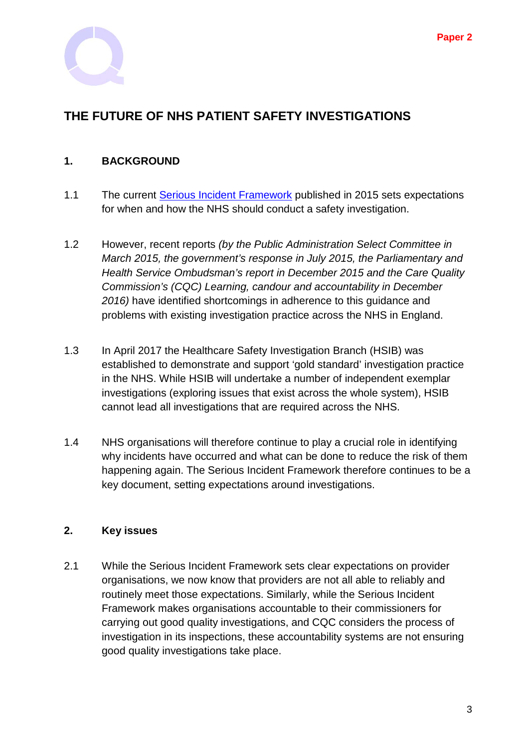

# **THE FUTURE OF NHS PATIENT SAFETY INVESTIGATIONS**

#### **1. BACKGROUND**

- 1.1 The current [Serious Incident Framework](https://improvement.nhs.uk/resources/serious-incident-framework/) published in 2015 sets expectations for when and how the NHS should conduct a safety investigation.
- 1.2 However, recent reports *(by the Public Administration Select Committee in March 2015, the government's response in July 2015, the Parliamentary and Health Service Ombudsman's report in December 2015 and the Care Quality Commission's (CQC) Learning, candour and accountability in December 2016)* have identified shortcomings in adherence to this guidance and problems with existing investigation practice across the NHS in England.
- 1.3 In April 2017 the Healthcare Safety Investigation Branch (HSIB) was established to demonstrate and support 'gold standard' investigation practice in the NHS. While HSIB will undertake a number of independent exemplar investigations (exploring issues that exist across the whole system), HSIB cannot lead all investigations that are required across the NHS.
- 1.4 NHS organisations will therefore continue to play a crucial role in identifying why incidents have occurred and what can be done to reduce the risk of them happening again. The Serious Incident Framework therefore continues to be a key document, setting expectations around investigations.

#### **2. Key issues**

2.1 While the Serious Incident Framework sets clear expectations on provider organisations, we now know that providers are not all able to reliably and routinely meet those expectations. Similarly, while the Serious Incident Framework makes organisations accountable to their commissioners for carrying out good quality investigations, and CQC considers the process of investigation in its inspections, these accountability systems are not ensuring good quality investigations take place.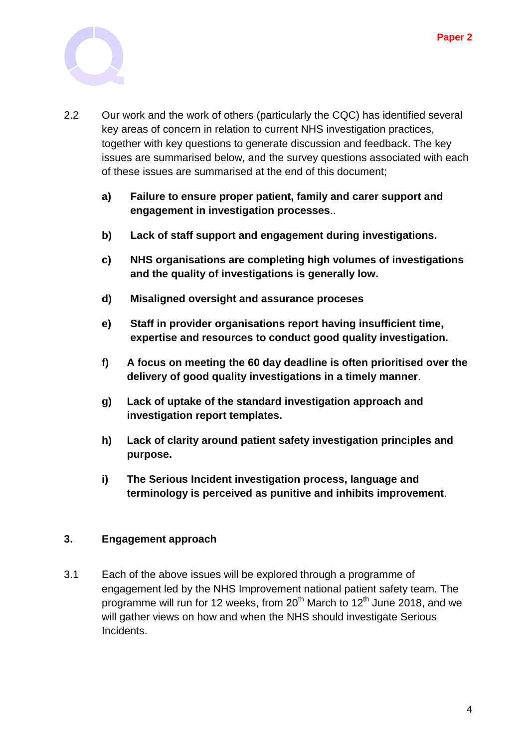

- 2.2 Our work and the work of others (particularly the CQC) has identified several key areas of concern in relation to current NHS investigation practices, together with key questions to generate discussion and feedback. The key issues are summarised below, and the survey questions associated with each of these issues are summarised at the end of this document;
	- **a) Failure to ensure proper patient, family and carer support and engagement in investigation processes**..
	- **b) Lack of staff support and engagement during investigations.**
	- **c) NHS organisations are completing high volumes of investigations and the quality of investigations is generally low.**
	- **d) Misaligned oversight and assurance proceses**
	- **e) Staff in provider organisations report having insufficient time, expertise and resources to conduct good quality investigation.**
	- **f) A focus on meeting the 60 day deadline is often prioritised over the delivery of good quality investigations in a timely manner**.
	- **g) Lack of uptake of the standard investigation approach and investigation report templates.**
	- **h) Lack of clarity around patient safety investigation principles and purpose.**
	- **i) The Serious Incident investigation process, language and terminology is perceived as punitive and inhibits improvement**.

#### **3. Engagement approach**

3.1 Each of the above issues will be explored through a programme of engagement led by the NHS Improvement national patient safety team. The programme will run for 12 weeks, from  $20<sup>th</sup>$  March to  $12<sup>th</sup>$  June 2018, and we will gather views on how and when the NHS should investigate Serious Incidents.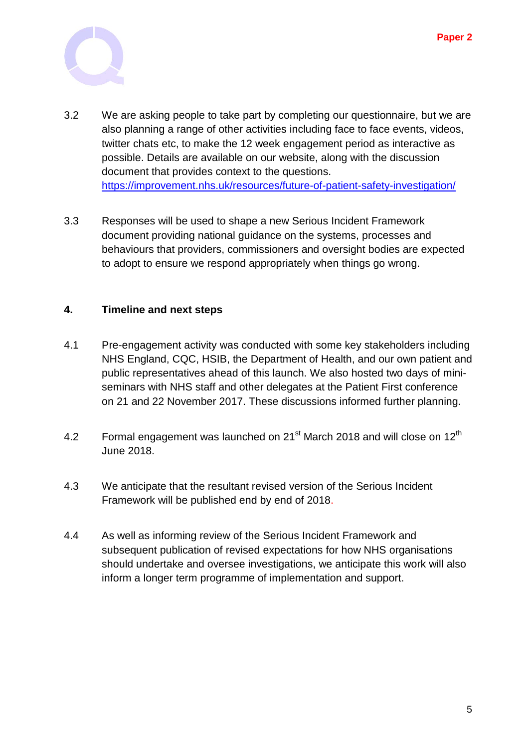

- 3.2 We are asking people to take part by completing our questionnaire, but we are also planning a range of other activities including face to face events, videos, twitter chats etc, to make the 12 week engagement period as interactive as possible. Details are available on our website, along with the discussion document that provides context to the questions. <https://improvement.nhs.uk/resources/future-of-patient-safety-investigation/>
- 3.3 Responses will be used to shape a new Serious Incident Framework document providing national guidance on the systems, processes and behaviours that providers, commissioners and oversight bodies are expected to adopt to ensure we respond appropriately when things go wrong.

#### **4. Timeline and next steps**

- 4.1 Pre-engagement activity was conducted with some key stakeholders including NHS England, CQC, HSIB, the Department of Health, and our own patient and public representatives ahead of this launch. We also hosted two days of miniseminars with NHS staff and other delegates at the Patient First conference on 21 and 22 November 2017. These discussions informed further planning.
- 4.2 Formal engagement was launched on  $21<sup>st</sup>$  March 2018 and will close on  $12<sup>th</sup>$ June 2018.
- 4.3 We anticipate that the resultant revised version of the Serious Incident Framework will be published end by end of 2018.
- 4.4 As well as informing review of the Serious Incident Framework and subsequent publication of revised expectations for how NHS organisations should undertake and oversee investigations, we anticipate this work will also inform a longer term programme of implementation and support.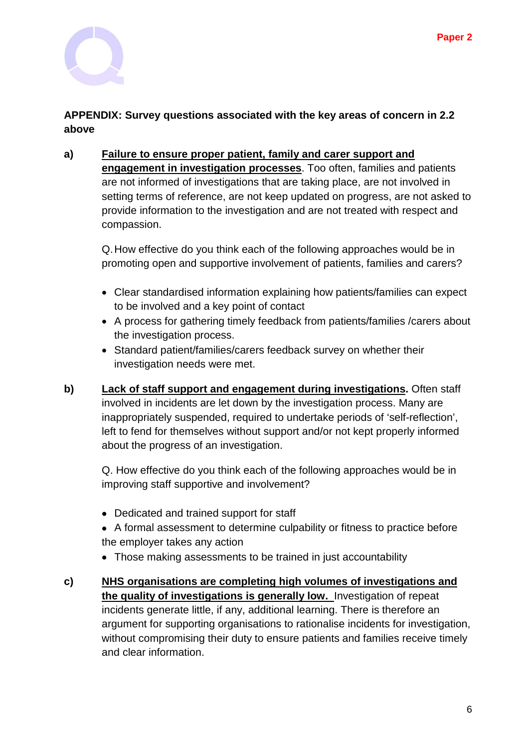

## **APPENDIX: Survey questions associated with the key areas of concern in 2.2 above**

**a) Failure to ensure proper patient, family and carer support and engagement in investigation processes**. Too often, families and patients are not informed of investigations that are taking place, are not involved in setting terms of reference, are not keep updated on progress, are not asked to provide information to the investigation and are not treated with respect and compassion.

Q.How effective do you think each of the following approaches would be in promoting open and supportive involvement of patients, families and carers?

- Clear standardised information explaining how patients/families can expect to be involved and a key point of contact
- A process for gathering timely feedback from patients/families /carers about the investigation process.
- Standard patient/families/carers feedback survey on whether their investigation needs were met.
- **b) Lack of staff support and engagement during investigations.** Often staff involved in incidents are let down by the investigation process. Many are inappropriately suspended, required to undertake periods of 'self-reflection', left to fend for themselves without support and/or not kept properly informed about the progress of an investigation.

Q. How effective do you think each of the following approaches would be in improving staff supportive and involvement?

- Dedicated and trained support for staff
- A formal assessment to determine culpability or fitness to practice before the employer takes any action
- Those making assessments to be trained in just accountability
- **c) NHS organisations are completing high volumes of investigations and the quality of investigations is generally low.** Investigation of repeat incidents generate little, if any, additional learning. There is therefore an argument for supporting organisations to rationalise incidents for investigation, without compromising their duty to ensure patients and families receive timely and clear information.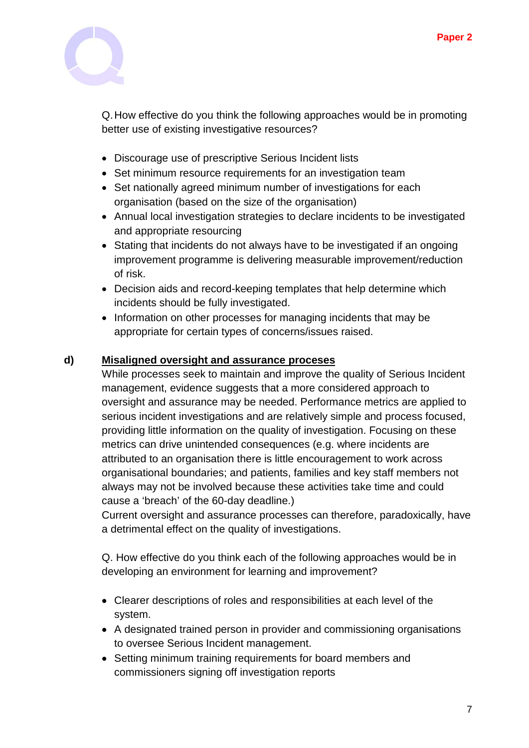

Q.How effective do you think the following approaches would be in promoting better use of existing investigative resources?

- Discourage use of prescriptive Serious Incident lists
- Set minimum resource requirements for an investigation team
- Set nationally agreed minimum number of investigations for each organisation (based on the size of the organisation)
- Annual local investigation strategies to declare incidents to be investigated and appropriate resourcing
- Stating that incidents do not always have to be investigated if an ongoing improvement programme is delivering measurable improvement/reduction of risk.
- Decision aids and record-keeping templates that help determine which incidents should be fully investigated.
- Information on other processes for managing incidents that may be appropriate for certain types of concerns/issues raised.

#### **d) Misaligned oversight and assurance proceses**

While processes seek to maintain and improve the quality of Serious Incident management, evidence suggests that a more considered approach to oversight and assurance may be needed. Performance metrics are applied to serious incident investigations and are relatively simple and process focused, providing little information on the quality of investigation. Focusing on these metrics can drive unintended consequences (e.g. where incidents are attributed to an organisation there is little encouragement to work across organisational boundaries; and patients, families and key staff members not always may not be involved because these activities take time and could cause a 'breach' of the 60-day deadline.)

Current oversight and assurance processes can therefore, paradoxically, have a detrimental effect on the quality of investigations.

Q. How effective do you think each of the following approaches would be in developing an environment for learning and improvement?

- Clearer descriptions of roles and responsibilities at each level of the system.
- A designated trained person in provider and commissioning organisations to oversee Serious Incident management.
- Setting minimum training requirements for board members and commissioners signing off investigation reports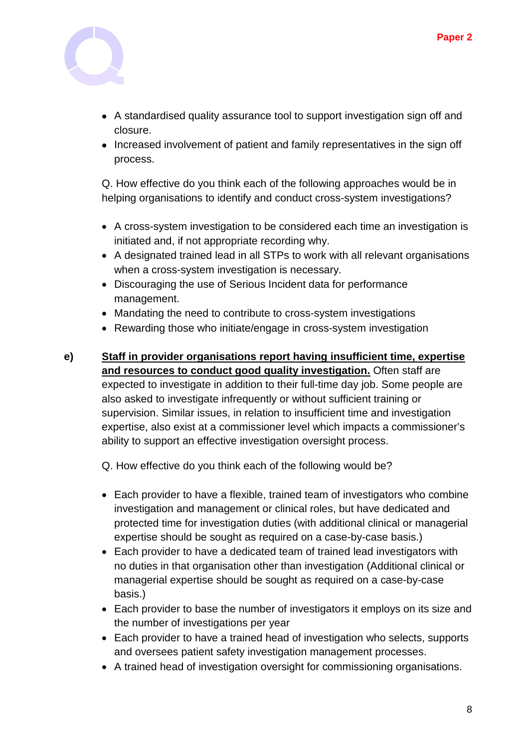

- A standardised quality assurance tool to support investigation sign off and closure.
- Increased involvement of patient and family representatives in the sign off process.

Q. How effective do you think each of the following approaches would be in helping organisations to identify and conduct cross-system investigations?

- A cross-system investigation to be considered each time an investigation is initiated and, if not appropriate recording why.
- A designated trained lead in all STPs to work with all relevant organisations when a cross-system investigation is necessary.
- Discouraging the use of Serious Incident data for performance management.
- Mandating the need to contribute to cross-system investigations
- Rewarding those who initiate/engage in cross-system investigation
- **e) Staff in provider organisations report having insufficient time, expertise and resources to conduct good quality investigation.** Often staff are expected to investigate in addition to their full-time day job. Some people are also asked to investigate infrequently or without sufficient training or supervision. Similar issues, in relation to insufficient time and investigation expertise, also exist at a commissioner level which impacts a commissioner's ability to support an effective investigation oversight process.

Q. How effective do you think each of the following would be?

- Each provider to have a flexible, trained team of investigators who combine investigation and management or clinical roles, but have dedicated and protected time for investigation duties (with additional clinical or managerial expertise should be sought as required on a case-by-case basis.)
- Each provider to have a dedicated team of trained lead investigators with no duties in that organisation other than investigation (Additional clinical or managerial expertise should be sought as required on a case-by-case basis.)
- Each provider to base the number of investigators it employs on its size and the number of investigations per year
- Each provider to have a trained head of investigation who selects, supports and oversees patient safety investigation management processes.
- A trained head of investigation oversight for commissioning organisations.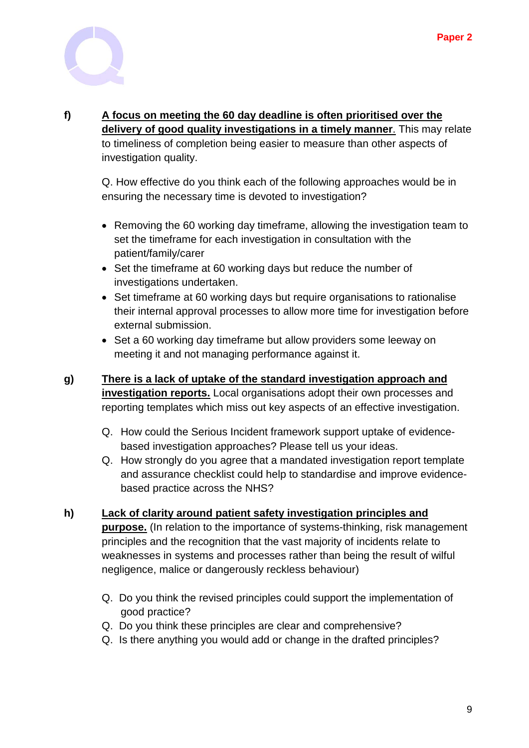

#### **f) A focus on meeting the 60 day deadline is often prioritised over the delivery of good quality investigations in a timely manner**. This may relate to timeliness of completion being easier to measure than other aspects of investigation quality.

Q. How effective do you think each of the following approaches would be in ensuring the necessary time is devoted to investigation?

- Removing the 60 working day timeframe, allowing the investigation team to set the timeframe for each investigation in consultation with the patient/family/carer
- Set the timeframe at 60 working days but reduce the number of investigations undertaken.
- Set timeframe at 60 working days but require organisations to rationalise their internal approval processes to allow more time for investigation before external submission.
- Set a 60 working day timeframe but allow providers some leeway on meeting it and not managing performance against it.
- **g) There is a lack of uptake of the standard investigation approach and investigation reports.** Local organisations adopt their own processes and reporting templates which miss out key aspects of an effective investigation.
	- Q. How could the Serious Incident framework support uptake of evidencebased investigation approaches? Please tell us your ideas.
	- Q. How strongly do you agree that a mandated investigation report template and assurance checklist could help to standardise and improve evidencebased practice across the NHS?

# **h) Lack of clarity around patient safety investigation principles and purpose.** (In relation to the importance of systems-thinking, risk management principles and the recognition that the vast majority of incidents relate to

weaknesses in systems and processes rather than being the result of wilful negligence, malice or dangerously reckless behaviour)

- Q. Do you think the revised principles could support the implementation of good practice?
- Q. Do you think these principles are clear and comprehensive?
- Q. Is there anything you would add or change in the drafted principles?